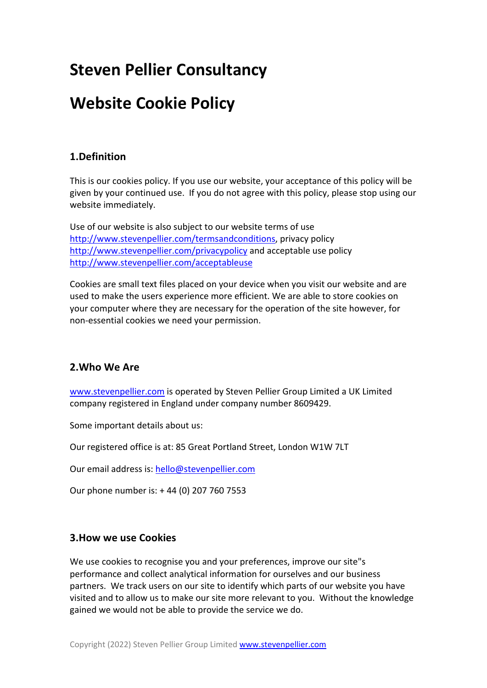# **Steven Pellier Consultancy**

# **Website Cookie Policy**

## **1.Definition**

This is our cookies policy. If you use our website, your acceptance of this policy will be given by your continued use. If you do not agree with this policy, please stop using our website immediately.

Use of our website is also subject to our website terms of use http://www.stevenpellier.com/termsandconditions, privacy policy http://www.stevenpellier.com/privacypolicy and acceptable use policy http://www.stevenpellier.com/acceptableuse

Cookies are small text files placed on your device when you visit our website and are used to make the users experience more efficient. We are able to store cookies on your computer where they are necessary for the operation of the site however, for non-essential cookies we need your permission.

### **2.Who We Are**

www.stevenpellier.com is operated by Steven Pellier Group Limited a UK Limited company registered in England under company number 8609429.

Some important details about us:

Our registered office is at: 85 Great Portland Street, London W1W 7LT

Our email address is: hello@stevenpellier.com

Our phone number is: + 44 (0) 207 760 7553

#### **3.How we use Cookies**

We use cookies to recognise you and your preferences, improve our site"s performance and collect analytical information for ourselves and our business partners. We track users on our site to identify which parts of our website you have visited and to allow us to make our site more relevant to you. Without the knowledge gained we would not be able to provide the service we do.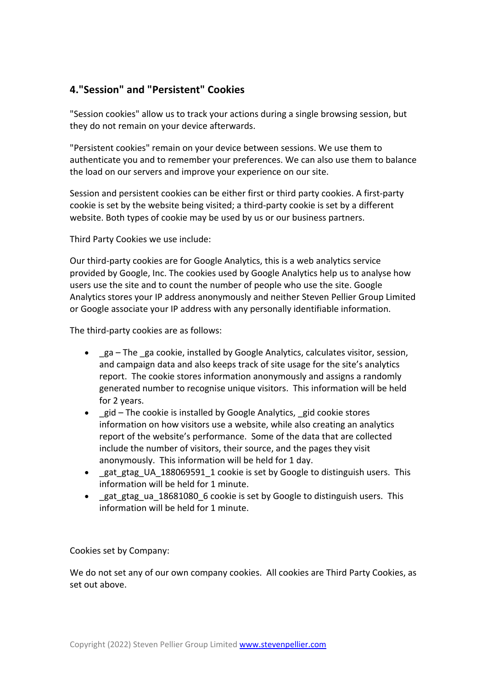## **4."Session" and "Persistent" Cookies**

"Session cookies" allow us to track your actions during a single browsing session, but they do not remain on your device afterwards.

"Persistent cookies" remain on your device between sessions. We use them to authenticate you and to remember your preferences. We can also use them to balance the load on our servers and improve your experience on our site.

Session and persistent cookies can be either first or third party cookies. A first-party cookie is set by the website being visited; a third-party cookie is set by a different website. Both types of cookie may be used by us or our business partners.

Third Party Cookies we use include:

Our third-party cookies are for Google Analytics, this is a web analytics service provided by Google, Inc. The cookies used by Google Analytics help us to analyse how users use the site and to count the number of people who use the site. Google Analytics stores your IP address anonymously and neither Steven Pellier Group Limited or Google associate your IP address with any personally identifiable information.

The third-party cookies are as follows:

- ga The ga cookie, installed by Google Analytics, calculates visitor, session, and campaign data and also keeps track of site usage for the site's analytics report. The cookie stores information anonymously and assigns a randomly generated number to recognise unique visitors. This information will be held for 2 years.
- gid The cookie is installed by Google Analytics, gid cookie stores information on how visitors use a website, while also creating an analytics report of the website's performance. Some of the data that are collected include the number of visitors, their source, and the pages they visit anonymously. This information will be held for 1 day.
- gat\_gtag\_UA\_188069591\_1 cookie is set by Google to distinguish users. This information will be held for 1 minute.
- gat gtag ua 18681080 6 cookie is set by Google to distinguish users. This information will be held for 1 minute.

Cookies set by Company:

We do not set any of our own company cookies. All cookies are Third Party Cookies, as set out above.